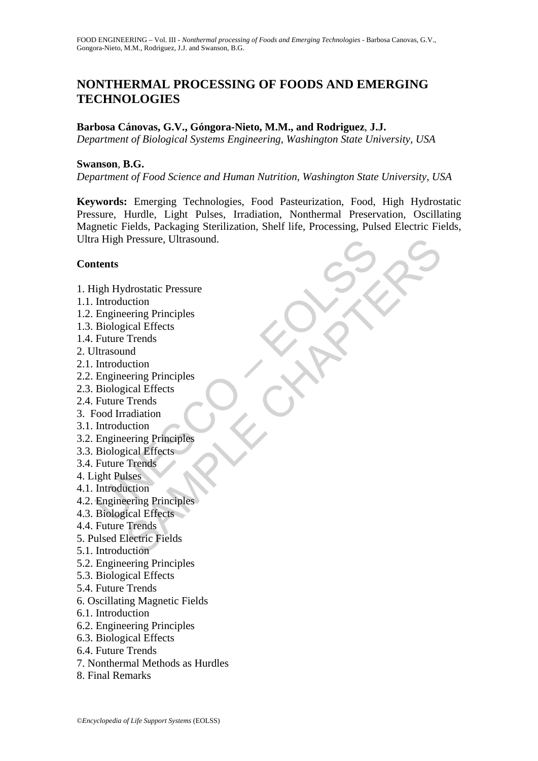# **NONTHERMAL PROCESSING OF FOODS AND EMERGING TECHNOLOGIES**

### **Barbosa Cánovas, G.V., Góngora-Nieto, M.M., and Rodriguez**, **J.J.**

*Department of Biological Systems Engineering, Washington State University, USA* 

#### **Swanson**, **B.G.**

*Department of Food Science and Human Nutrition, Washington State University, USA* 

a High Pressure, Ultrasound.<br>
<br>
Itents<br>
ligh Hydrostatic Pressure<br>
Introduction<br>
Engineering Principles<br>
Future Trends<br>
Future Trends<br>
Iltrasound<br>
Introduction<br>
Engineering Principles<br>
Biological Effects<br>
Future Trends<br>
En Pressure, Ultrasound.<br>
Adrostatic Pressure<br>
cition<br>
certing Principles<br>
ical Effects<br>
Trends<br>
Trends<br>
Trends<br>
Trends<br>
Terming Principles<br>
Cition<br>
Trends<br>
Stass<br>
New Principles<br>
Trends<br>
Stass<br>
New Principles<br>
Cition<br>
Trends **Keywords:** Emerging Technologies, Food Pasteurization, Food, High Hydrostatic Pressure, Hurdle, Light Pulses, Irradiation, Nonthermal Preservation, Oscillating Magnetic Fields, Packaging Sterilization, Shelf life, Processing, Pulsed Electric Fields, Ultra High Pressure, Ultrasound.

### **Contents**

- 1. High Hydrostatic Pressure
- 1.1. Introduction
- 1.2. Engineering Principles
- 1.3. Biological Effects
- 1.4. Future Trends
- 2. Ultrasound
- 2.1. Introduction
- 2.2. Engineering Principles
- 2.3. Biological Effects
- 2.4. Future Trends
- 3. Food Irradiation
- 3.1. Introduction
- 3.2. Engineering Principles
- 3.3. Biological Effects
- 3.4. Future Trends
- 4. Light Pulses
- 4.1. Introduction
- 4.2. Engineering Principles
- 4.3. Biological Effects
- 4.4. Future Trends
- 5. Pulsed Electric Fields
- 5.1. Introduction
- 5.2. Engineering Principles
- 5.3. Biological Effects
- 5.4. Future Trends
- 6. Oscillating Magnetic Fields
- 6.1. Introduction
- 6.2. Engineering Principles
- 6.3. Biological Effects
- 6.4. Future Trends
- 7. Nonthermal Methods as Hurdles
- 8. Final Remarks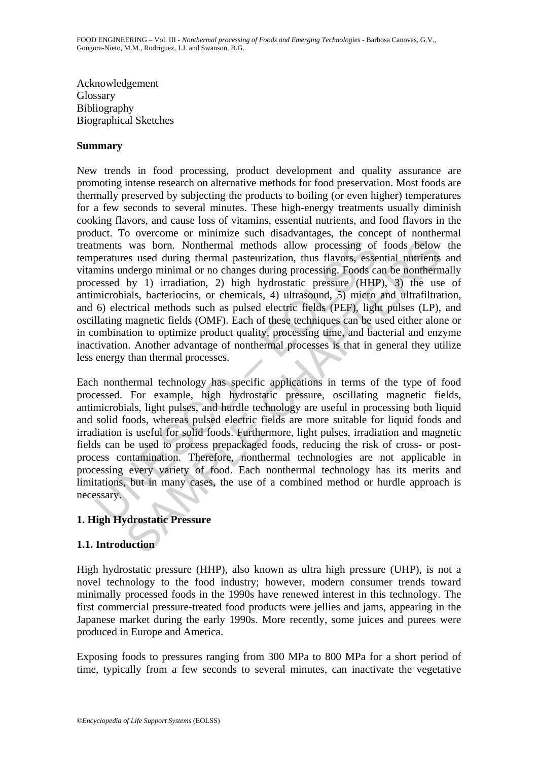Acknowledgement Glossary Bibliography Biographical Sketches

## **Summary**

tments was born. Nonthermal methods allow processing of<br>peratures used during thermal pasteurization, thus flavors, esse<br>mins undergo minimal or no changes during processing. Foods ca<br>essed by 1) irradiation, 2) high hydro was born. Nonthermal methods allow processing of foods below<br>was som. Nonthermal methods allow processing of foods below<br>es used during thermal pasteurization, thus flavors, essential nutrients<br>degro minimal or no changes New trends in food processing, product development and quality assurance are promoting intense research on alternative methods for food preservation. Most foods are thermally preserved by subjecting the products to boiling (or even higher) temperatures for a few seconds to several minutes. These high-energy treatments usually diminish cooking flavors, and cause loss of vitamins, essential nutrients, and food flavors in the product. To overcome or minimize such disadvantages, the concept of nonthermal treatments was born. Nonthermal methods allow processing of foods below the temperatures used during thermal pasteurization, thus flavors, essential nutrients and vitamins undergo minimal or no changes during processing. Foods can be nonthermally processed by 1) irradiation, 2) high hydrostatic pressure (HHP), 3) the use of antimicrobials, bacteriocins, or chemicals, 4) ultrasound, 5) micro and ultrafiltration, and 6) electrical methods such as pulsed electric fields (PEF), light pulses (LP), and oscillating magnetic fields (OMF). Each of these techniques can be used either alone or in combination to optimize product quality, processing time, and bacterial and enzyme inactivation. Another advantage of nonthermal processes is that in general they utilize less energy than thermal processes.

Each nonthermal technology has specific applications in terms of the type of food processed. For example, high hydrostatic pressure, oscillating magnetic fields, antimicrobials, light pulses, and hurdle technology are useful in processing both liquid and solid foods, whereas pulsed electric fields are more suitable for liquid foods and irradiation is useful for solid foods. Furthermore, light pulses, irradiation and magnetic fields can be used to process prepackaged foods, reducing the risk of cross- or postprocess contamination. Therefore, nonthermal technologies are not applicable in processing every variety of food. Each nonthermal technology has its merits and limitations, but in many cases, the use of a combined method or hurdle approach is necessary.

# **1. High Hydrostatic Pressure**

# **1.1. Introduction**

High hydrostatic pressure (HHP), also known as ultra high pressure (UHP), is not a novel technology to the food industry; however, modern consumer trends toward minimally processed foods in the 1990s have renewed interest in this technology. The first commercial pressure-treated food products were jellies and jams, appearing in the Japanese market during the early 1990s. More recently, some juices and purees were produced in Europe and America.

Exposing foods to pressures ranging from 300 MPa to 800 MPa for a short period of time, typically from a few seconds to several minutes, can inactivate the vegetative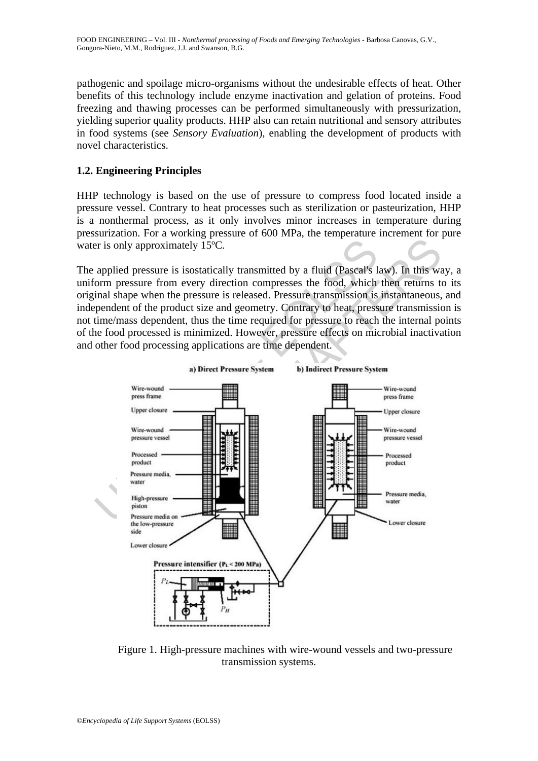pathogenic and spoilage micro-organisms without the undesirable effects of heat. Other benefits of this technology include enzyme inactivation and gelation of proteins. Food freezing and thawing processes can be performed simultaneously with pressurization, yielding superior quality products. HHP also can retain nutritional and sensory attributes in food systems (see *Sensory Evaluation*), enabling the development of products with novel characteristics.

# **1.2. Engineering Principles**

HHP technology is based on the use of pressure to compress food located inside a pressure vessel. Contrary to heat processes such as sterilization or pasteurization, HHP is a nonthermal process, as it only involves minor increases in temperature during pressurization. For a working pressure of 600 MPa, the temperature increment for pure water is only approximately 15ºC.

The applied pressure is isostatically transmitted by a fluid (Pascal's law). In this way, a uniform pressure from every direction compresses the food, which then returns to its original shape when the pressure is released. Pressure transmission is instantaneous, and independent of the product size and geometry. Contrary to heat, pressure transmission is not time/mass dependent, thus the time required for pressure to reach the internal points of the food processed is minimized. However, pressure effects on microbial inactivation and other food processing applications are time dependent.



Figure 1. High-pressure machines with wire-wound vessels and two-pressure transmission systems.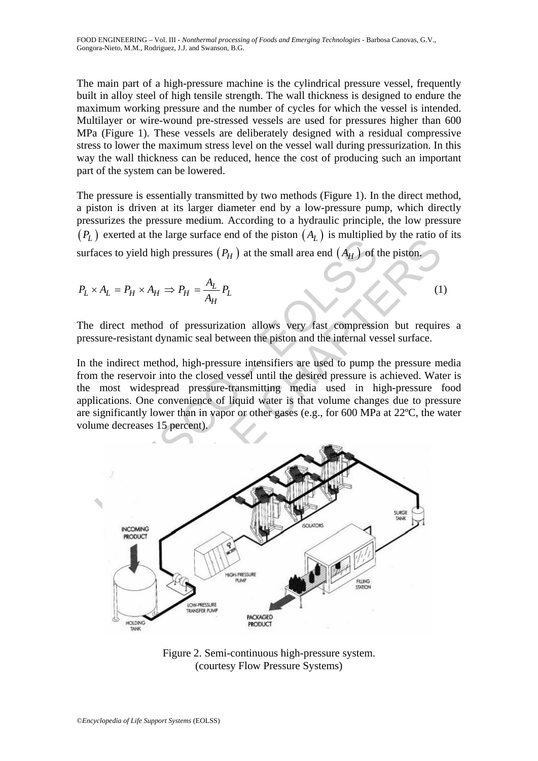The main part of a high-pressure machine is the cylindrical pressure vessel, frequently built in alloy steel of high tensile strength. The wall thickness is designed to endure the maximum working pressure and the number of cycles for which the vessel is intended. Multilayer or wire-wound pre-stressed vessels are used for pressures higher than 600 MPa (Figure 1). These vessels are deliberately designed with a residual compressive stress to lower the maximum stress level on the vessel wall during pressurization. In this way the wall thickness can be reduced, hence the cost of producing such an important part of the system can be lowered.

The pressure is essentially transmitted by two methods (Figure 1). In the direct method, a piston is driven at its larger diameter end by a low-pressure pump, which directly pressurizes the pressure medium. According to a hydraulic principle, the low pressure  $(P_L)$  exerted at the large surface end of the piston  $(A_L)$  is multiplied by the ratio of its

surfaces to yield high pressures  $(P_H)$  at the small area end  $(A_H)$  of the piston.

$$
P_L \times A_L = P_H \times A_H \Rightarrow P_H = \frac{A_L}{A_H} P_L \tag{1}
$$

The direct method of pressurization allows very fast compression but requires a pressure-resistant dynamic seal between the piston and the internal vessel surface.

In the indirect method, high-pressure intensifiers are used to pump the pressure media from the reservoir into the closed vessel until the desired pressure is achieved. Water is the most widespread pressure-transmitting media used in high-pressure food applications. One convenience of liquid water is that volume changes due to pressure are significantly lower than in vapor or other gases (e.g., for 600 MPa at 22ºC, the water volume decreases 15 percent).



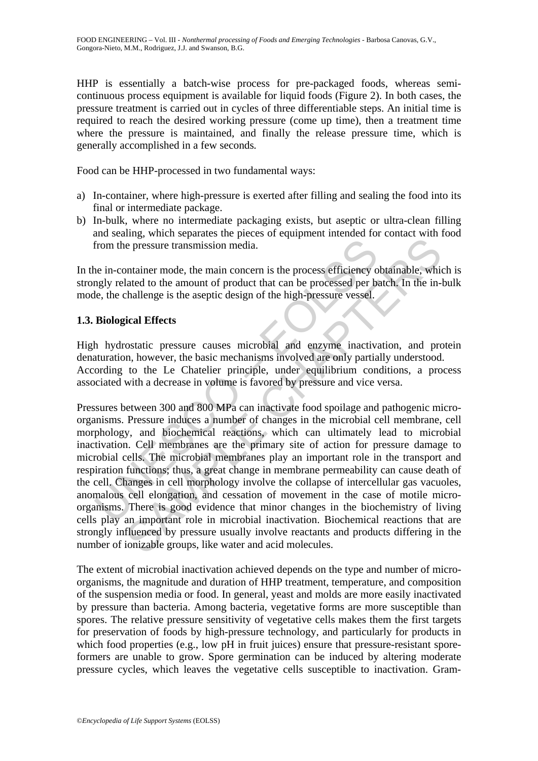HHP is essentially a batch-wise process for pre-packaged foods, whereas semicontinuous process equipment is available for liquid foods (Figure 2). In both cases, the pressure treatment is carried out in cycles of three differentiable steps. An initial time is required to reach the desired working pressure (come up time), then a treatment time where the pressure is maintained, and finally the release pressure time, which is generally accomplished in a few seconds*.*

Food can be HHP-processed in two fundamental ways:

- a) In-container, where high-pressure is exerted after filling and sealing the food into its final or intermediate package.
- b) In-bulk, where no intermediate packaging exists, but aseptic or ultra-clean filling and sealing, which separates the pieces of equipment intended for contact with food from the pressure transmission media.

In the in-container mode, the main concern is the process efficiency obtainable, which is strongly related to the amount of product that can be processed per batch. In the in-bulk mode, the challenge is the aseptic design of the high-pressure vessel.

# **1.3. Biological Effects**

High hydrostatic pressure causes microbial and enzyme inactivation, and protein denaturation, however, the basic mechanisms involved are only partially understood. According to the Le Chatelier principle, under equilibrium conditions, a process associated with a decrease in volume is favored by pressure and vice versa.

from the pressure transmission media.<br>
The in-container mode, the main concern is the process efficiency of<br>
Ilege is the amount of product that can be processed per by<br>
lee, the challenge is the aseptic design of the high increases the main concern is the process efficiency obtainable, while the renessure transmission media.<br>
In that and the amount of product that can be processed per batch. In the in-<br>
challenge is the aseptic design of th Pressures between 300 and 800 MPa can inactivate food spoilage and pathogenic microorganisms. Pressure induces a number of changes in the microbial cell membrane, cell morphology, and biochemical reactions, which can ultimately lead to microbial inactivation. Cell membranes are the primary site of action for pressure damage to microbial cells. The microbial membranes play an important role in the transport and respiration functions; thus, a great change in membrane permeability can cause death of the cell. Changes in cell morphology involve the collapse of intercellular gas vacuoles, anomalous cell elongation, and cessation of movement in the case of motile microorganisms. There is good evidence that minor changes in the biochemistry of living cells play an important role in microbial inactivation. Biochemical reactions that are strongly influenced by pressure usually involve reactants and products differing in the number of ionizable groups, like water and acid molecules.

The extent of microbial inactivation achieved depends on the type and number of microorganisms, the magnitude and duration of HHP treatment, temperature, and composition of the suspension media or food. In general, yeast and molds are more easily inactivated by pressure than bacteria. Among bacteria, vegetative forms are more susceptible than spores. The relative pressure sensitivity of vegetative cells makes them the first targets for preservation of foods by high-pressure technology, and particularly for products in which food properties (e.g., low pH in fruit juices) ensure that pressure-resistant sporeformers are unable to grow. Spore germination can be induced by altering moderate pressure cycles, which leaves the vegetative cells susceptible to inactivation. Gram-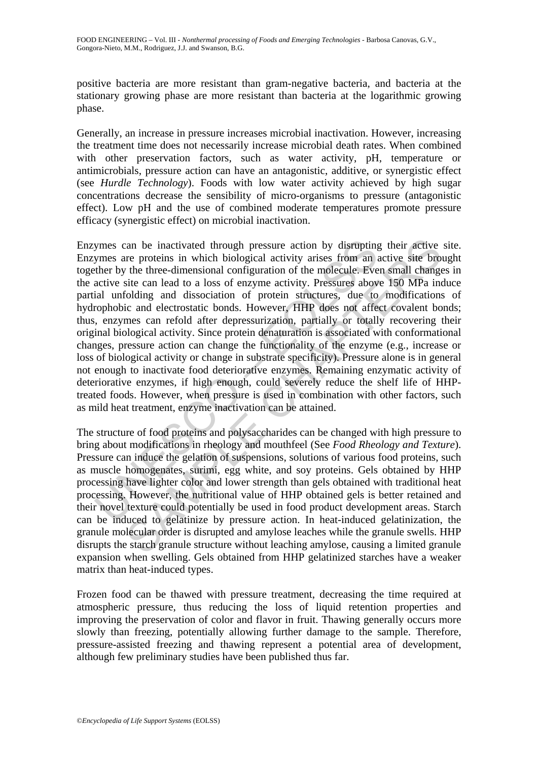positive bacteria are more resistant than gram-negative bacteria, and bacteria at the stationary growing phase are more resistant than bacteria at the logarithmic growing phase.

Generally, an increase in pressure increases microbial inactivation. However, increasing the treatment time does not necessarily increase microbial death rates. When combined with other preservation factors, such as water activity, pH, temperature or antimicrobials, pressure action can have an antagonistic, additive, or synergistic effect (see *Hurdle Technology*). Foods with low water activity achieved by high sugar concentrations decrease the sensibility of micro-organisms to pressure (antagonistic effect). Low pH and the use of combined moderate temperatures promote pressure efficacy (synergistic effect) on microbial inactivation.

ymes can be inactivated through pressure action by disrupting<br>ymes are proteins in which biological activity arises from an *i*<br>ther by the three-dimensional configuration of the molecule. Eve<br>active site can lead to a los can be inactivated through pressure action by disrupting their active<br>tre proteins in which biological activity arises from an active site bro<br>the three-dimensional configuration of the molecule. Even small change<br>siste c Enzymes can be inactivated through pressure action by disrupting their active site. Enzymes are proteins in which biological activity arises from an active site brought together by the three-dimensional configuration of the molecule. Even small changes in the active site can lead to a loss of enzyme activity. Pressures above 150 MPa induce partial unfolding and dissociation of protein structures, due to modifications of hydrophobic and electrostatic bonds. However, HHP does not affect covalent bonds; thus, enzymes can refold after depressurization, partially or totally recovering their original biological activity. Since protein denaturation is associated with conformational changes, pressure action can change the functionality of the enzyme (e.g., increase or loss of biological activity or change in substrate specificity). Pressure alone is in general not enough to inactivate food deteriorative enzymes. Remaining enzymatic activity of deteriorative enzymes, if high enough, could severely reduce the shelf life of HHPtreated foods. However, when pressure is used in combination with other factors, such as mild heat treatment, enzyme inactivation can be attained.

The structure of food proteins and polysaccharides can be changed with high pressure to bring about modifications in rheology and mouthfeel (See *Food Rheology and Texture*). Pressure can induce the gelation of suspensions, solutions of various food proteins, such as muscle homogenates, surimi, egg white, and soy proteins. Gels obtained by HHP processing have lighter color and lower strength than gels obtained with traditional heat processing. However, the nutritional value of HHP obtained gels is better retained and their novel texture could potentially be used in food product development areas. Starch can be induced to gelatinize by pressure action. In heat-induced gelatinization, the granule molecular order is disrupted and amylose leaches while the granule swells. HHP disrupts the starch granule structure without leaching amylose, causing a limited granule expansion when swelling. Gels obtained from HHP gelatinized starches have a weaker matrix than heat-induced types.

Frozen food can be thawed with pressure treatment, decreasing the time required at atmospheric pressure, thus reducing the loss of liquid retention properties and improving the preservation of color and flavor in fruit. Thawing generally occurs more slowly than freezing, potentially allowing further damage to the sample. Therefore, pressure-assisted freezing and thawing represent a potential area of development, although few preliminary studies have been published thus far.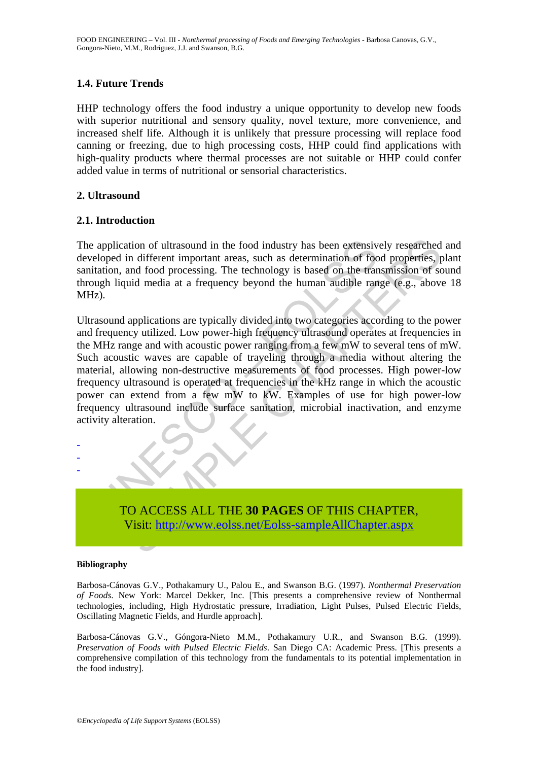# **1.4. Future Trends**

HHP technology offers the food industry a unique opportunity to develop new foods with superior nutritional and sensory quality, novel texture, more convenience, and increased shelf life. Although it is unlikely that pressure processing will replace food canning or freezing, due to high processing costs, HHP could find applications with high-quality products where thermal processes are not suitable or HHP could confer added value in terms of nutritional or sensorial characteristics.

### **2. Ultrasound**

### **2.1. Introduction**

The application of ultrasound in the food industry has been extensively researched and developed in different important areas, such as determination of food properties, plant sanitation, and food processing. The technology is based on the transmission of sound through liquid media at a frequency beyond the human audible range (e.g., above 18 MHz).

application of ultrasound in the food industry has been extensiveloped in different important areas, such as determination of food training leads and food processing. The technology is based on the trange liquid media at a ation of ultrasound in the food industry has been extensively researched<br>in different important areas, such as determination of food properties, p<br>and food processing. The technology is based on the transmission of sc<br>uid Ultrasound applications are typically divided into two categories according to the power and frequency utilized. Low power-high frequency ultrasound operates at frequencies in the MHz range and with acoustic power ranging from a few mW to several tens of mW. Such acoustic waves are capable of traveling through a media without altering the material, allowing non-destructive measurements of food processes. High power-low frequency ultrasound is operated at frequencies in the kHz range in which the acoustic power can extend from a few mW to kW. Examples of use for high power-low frequency ultrasound include surface sanitation, microbial inactivation, and enzyme activity alteration.



#### **Bibliography**

- - -

Barbosa-Cánovas G.V., Pothakamury U., Palou E., and Swanson B.G. (1997). *Nonthermal Preservation of Foods*. New York: Marcel Dekker, Inc. [This presents a comprehensive review of Nonthermal technologies, including, High Hydrostatic pressure, Irradiation, Light Pulses, Pulsed Electric Fields, Oscillating Magnetic Fields, and Hurdle approach].

Barbosa-Cánovas G.V., Góngora-Nieto M.M., Pothakamury U.R., and Swanson B.G. (1999). *Preservation of Foods with Pulsed Electric Fields*. San Diego CA: Academic Press. [This presents a comprehensive compilation of this technology from the fundamentals to its potential implementation in the food industry].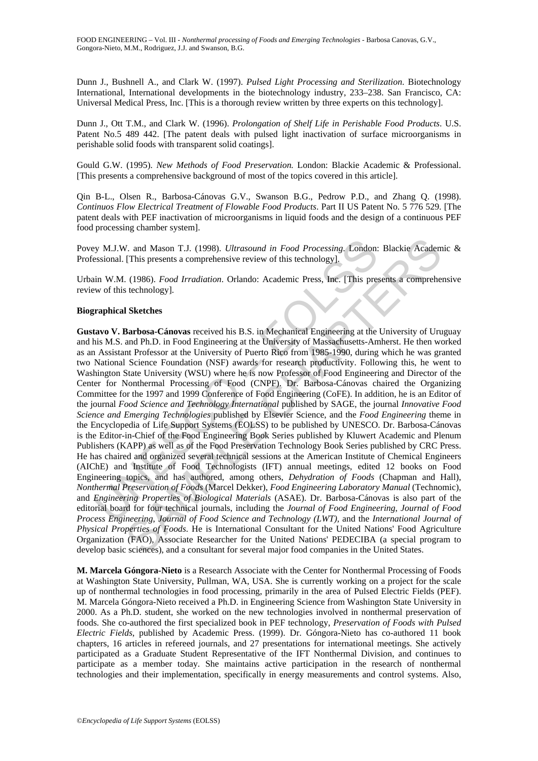Dunn J., Bushnell A., and Clark W. (1997). *Pulsed Light Processing and Sterilization*. Biotechnology International, International developments in the biotechnology industry, 233–238. San Francisco, CA: Universal Medical Press, Inc. [This is a thorough review written by three experts on this technology].

Dunn J., Ott T.M., and Clark W. (1996). *Prolongation of Shelf Life in Perishable Food Products*. U.S. Patent No.5 489 442. [The patent deals with pulsed light inactivation of surface microorganisms in perishable solid foods with transparent solid coatings].

Gould G.W. (1995). *New Methods of Food Preservation.* London: Blackie Academic & Professional. [This presents a comprehensive background of most of the topics covered in this article].

Qin B-L., Olsen R., Barbosa-Cánovas G.V., Swanson B.G., Pedrow P.D., and Zhang Q. (1998). *Continuos Flow Electrical Treatment of Flowable Food Products*. Part II US Patent No. 5 776 529. [The patent deals with PEF inactivation of microorganisms in liquid foods and the design of a continuous PEF food processing chamber system].

Povey M.J.W. and Mason T.J. (1998). *Ultrasound in Food Processing*. London: Blackie Academic & Professional. [This presents a comprehensive review of this technology].

Urbain W.M. (1986). *Food Irradiation*. Orlando: Academic Press, Inc. [This presents a comprehensive review of this technology].

#### **Biographical Sketches**

ry M.J.W. and Mason T.J. (1998). *Ultrasound in Food Processing*. London:<br>
sessional. [This presents a comprehensive review of this technology].<br>
in W.M. (1986). Food Irradiation. Orlando: Academic Press, Inc. [This presen V. and Mason T.J. (1998). *Ultrasound in Food Processing*. London: Blackie Academ<br>[This presents a comprehensive review of this technology].<br>
(1986). *Food Irradiation*. Orlando: Academic Press, Inc. [This presents a comp **Gustavo V. Barbosa-Cánovas** received his B.S. in Mechanical Engineering at the University of Uruguay and his M.S. and Ph.D. in Food Engineering at the University of Massachusetts-Amherst. He then worked as an Assistant Professor at the University of Puerto Rico from 1985-1990, during which he was granted two National Science Foundation (NSF) awards for research productivity. Following this, he went to Washington State University (WSU) where he is now Professor of Food Engineering and Director of the Center for Nonthermal Processing of Food (CNPF). Dr. Barbosa-Cánovas chaired the Organizing Committee for the 1997 and 1999 Conference of Food Engineering (CoFE). In addition, he is an Editor of the journal *Food Science and Technology International* published by SAGE, the journal *Innovative Food Science and Emerging Technologies* published by Elsevier Science, and the *Food Engineering* theme in the Encyclopedia of Life Support Systems (EOLSS) to be published by UNESCO. Dr. Barbosa-Cánovas is the Editor-in-Chief of the Food Engineering Book Series published by Kluwert Academic and Plenum Publishers (KAPP) as well as of the Food Preservation Technology Book Series published by CRC Press. He has chaired and organized several technical sessions at the American Institute of Chemical Engineers (AIChE) and Institute of Food Technologists (IFT) annual meetings, edited 12 books on Food Engineering topics, and has authored, among others, *Dehydration of Foods* (Chapman and Hall), *Nonthermal Preservation of Foods* (Marcel Dekker), *Food Engineering Laboratory Manual* (Technomic), and *Engineering Properties of Biological Materials* (ASAE). Dr. Barbosa-Cánovas is also part of the editorial board for four technical journals, including the *Journal of Food Engineering*, *Journal of Food Process Engineering*, *Journal of Food Science and Technology (LWT),* and the *International Journal of Physical Properties of Foods*. He is International Consultant for the United Nations' Food Agriculture Organization (FAO), Associate Researcher for the United Nations' PEDECIBA (a special program to develop basic sciences), and a consultant for several major food companies in the United States.

**M. Marcela Góngora-Nieto** is a Research Associate with the Center for Nonthermal Processing of Foods at Washington State University, Pullman, WA, USA. She is currently working on a project for the scale up of nonthermal technologies in food processing, primarily in the area of Pulsed Electric Fields (PEF). M. Marcela Góngora-Nieto received a Ph.D. in Engineering Science from Washington State University in 2000. As a Ph.D. student, she worked on the new technologies involved in nonthermal preservation of foods. She co-authored the first specialized book in PEF technology, *Preservation of Foods with Pulsed Electric Fields*, published by Academic Press. (1999). Dr. Góngora-Nieto has co-authored 11 book chapters, 16 articles in refereed journals, and 27 presentations for international meetings. She actively participated as a Graduate Student Representative of the IFT Nonthermal Division, and continues to participate as a member today. She maintains active participation in the research of nonthermal technologies and their implementation, specifically in energy measurements and control systems. Also,